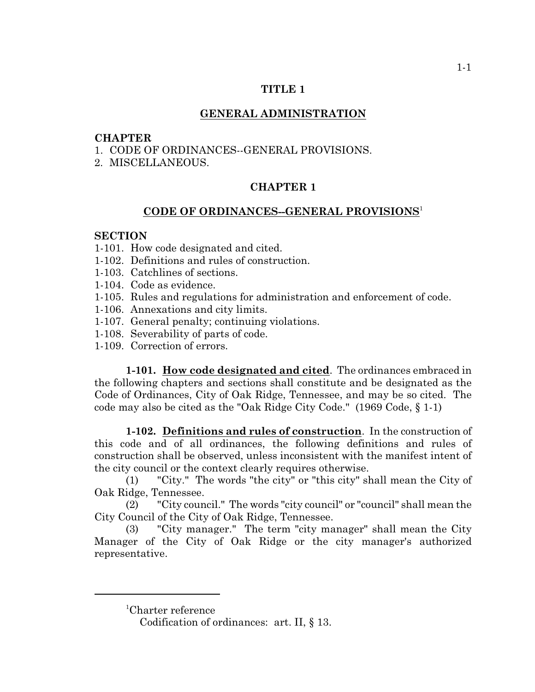### **TITLE 1**

## **GENERAL ADMINISTRATION**

### **CHAPTER**

- 1. CODE OF ORDINANCES--GENERAL PROVISIONS.
- 2. MISCELLANEOUS.

# **CHAPTER 1**

## **CODE OF ORDINANCES--GENERAL PROVISIONS** 1

#### **SECTION**

- 1-101. How code designated and cited.
- 1-102. Definitions and rules of construction.
- 1-103. Catchlines of sections.
- 1-104. Code as evidence.
- 1-105. Rules and regulations for administration and enforcement of code.
- 1-106. Annexations and city limits.
- 1-107. General penalty; continuing violations.
- 1-108. Severability of parts of code.
- 1-109. Correction of errors.

**1-101. How code designated and cited**. The ordinances embraced in the following chapters and sections shall constitute and be designated as the Code of Ordinances, City of Oak Ridge, Tennessee, and may be so cited. The code may also be cited as the "Oak Ridge City Code." (1969 Code, § 1-1)

**1-102. Definitions and rules of construction**. In the construction of this code and of all ordinances, the following definitions and rules of construction shall be observed, unless inconsistent with the manifest intent of the city council or the context clearly requires otherwise.

(1) "City." The words "the city" or "this city" shall mean the City of Oak Ridge, Tennessee.

(2) "City council." The words "city council" or "council" shall mean the City Council of the City of Oak Ridge, Tennessee.

(3) "City manager." The term "city manager" shall mean the City Manager of the City of Oak Ridge or the city manager's authorized representative.

<sup>1</sup>Charter reference

Codification of ordinances: art. II, § 13.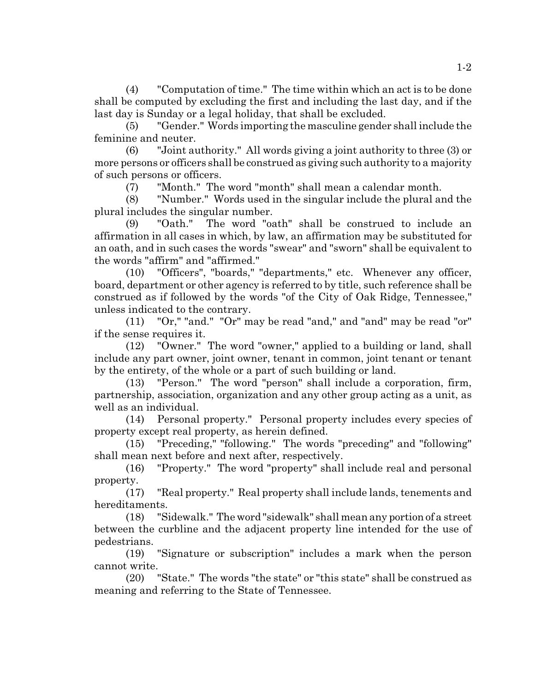(4) "Computation of time." The time within which an act is to be done shall be computed by excluding the first and including the last day, and if the last day is Sunday or a legal holiday, that shall be excluded.

(5) "Gender." Words importing the masculine gender shall include the feminine and neuter.

(6) "Joint authority." All words giving a joint authority to three (3) or more persons or officers shall be construed as giving such authority to a majority of such persons or officers.

(7) "Month." The word "month" shall mean a calendar month.

(8) "Number." Words used in the singular include the plural and the plural includes the singular number.

(9) "Oath." The word "oath" shall be construed to include an affirmation in all cases in which, by law, an affirmation may be substituted for an oath, and in such cases the words "swear" and "sworn" shall be equivalent to the words "affirm" and "affirmed."

(10) "Officers", "boards," "departments," etc. Whenever any officer, board, department or other agency is referred to by title, such reference shall be construed as if followed by the words "of the City of Oak Ridge, Tennessee," unless indicated to the contrary.

(11) "Or," "and." "Or" may be read "and," and "and" may be read "or" if the sense requires it.

(12) "Owner." The word "owner," applied to a building or land, shall include any part owner, joint owner, tenant in common, joint tenant or tenant by the entirety, of the whole or a part of such building or land.

(13) "Person." The word "person" shall include a corporation, firm, partnership, association, organization and any other group acting as a unit, as well as an individual.

(14) Personal property." Personal property includes every species of property except real property, as herein defined.

(15) "Preceding," "following." The words "preceding" and "following" shall mean next before and next after, respectively.

(16) "Property." The word "property" shall include real and personal property.

(17) "Real property." Real property shall include lands, tenements and hereditaments.

(18) "Sidewalk." The word "sidewalk" shall mean any portion of a street between the curbline and the adjacent property line intended for the use of pedestrians.

(19) "Signature or subscription" includes a mark when the person cannot write.

(20) "State." The words "the state" or "this state" shall be construed as meaning and referring to the State of Tennessee.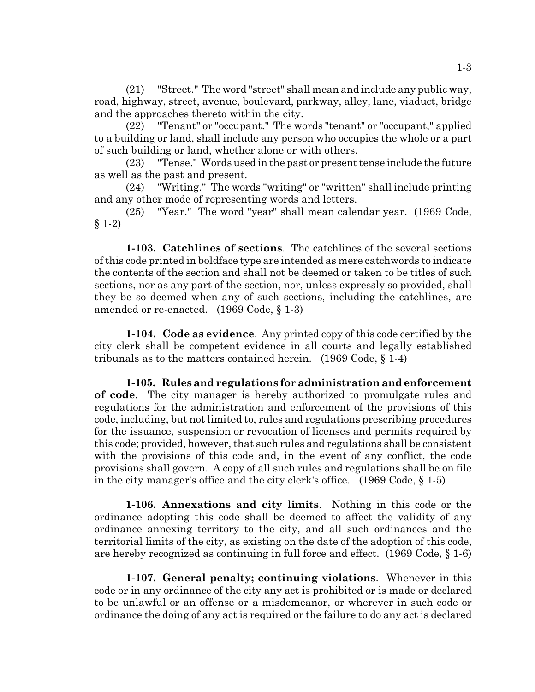(21) "Street." The word "street" shall mean and include any public way, road, highway, street, avenue, boulevard, parkway, alley, lane, viaduct, bridge and the approaches thereto within the city.

(22) "Tenant" or "occupant." The words "tenant" or "occupant," applied to a building or land, shall include any person who occupies the whole or a part of such building or land, whether alone or with others.

(23) "Tense." Words used in the past or present tense include the future as well as the past and present.

(24) "Writing." The words "writing" or "written" shall include printing and any other mode of representing words and letters.

(25) "Year." The word "year" shall mean calendar year. (1969 Code,  $§ 1-2)$ 

**1-103. Catchlines of sections**. The catchlines of the several sections of this code printed in boldface type are intended as mere catchwords to indicate the contents of the section and shall not be deemed or taken to be titles of such sections, nor as any part of the section, nor, unless expressly so provided, shall they be so deemed when any of such sections, including the catchlines, are amended or re-enacted. (1969 Code, § 1-3)

**1-104. Code as evidence**. Any printed copy of this code certified by the city clerk shall be competent evidence in all courts and legally established tribunals as to the matters contained herein. (1969 Code, § 1-4)

**1-105. Rules and regulations for administration and enforcement of code**. The city manager is hereby authorized to promulgate rules and regulations for the administration and enforcement of the provisions of this code, including, but not limited to, rules and regulations prescribing procedures for the issuance, suspension or revocation of licenses and permits required by this code; provided, however, that such rules and regulations shall be consistent with the provisions of this code and, in the event of any conflict, the code provisions shall govern. A copy of all such rules and regulations shall be on file in the city manager's office and the city clerk's office. (1969 Code, § 1-5)

**1-106. Annexations and city limits**. Nothing in this code or the ordinance adopting this code shall be deemed to affect the validity of any ordinance annexing territory to the city, and all such ordinances and the territorial limits of the city, as existing on the date of the adoption of this code, are hereby recognized as continuing in full force and effect. (1969 Code, § 1-6)

**1-107. General penalty; continuing violations**. Whenever in this code or in any ordinance of the city any act is prohibited or is made or declared to be unlawful or an offense or a misdemeanor, or wherever in such code or ordinance the doing of any act is required or the failure to do any act is declared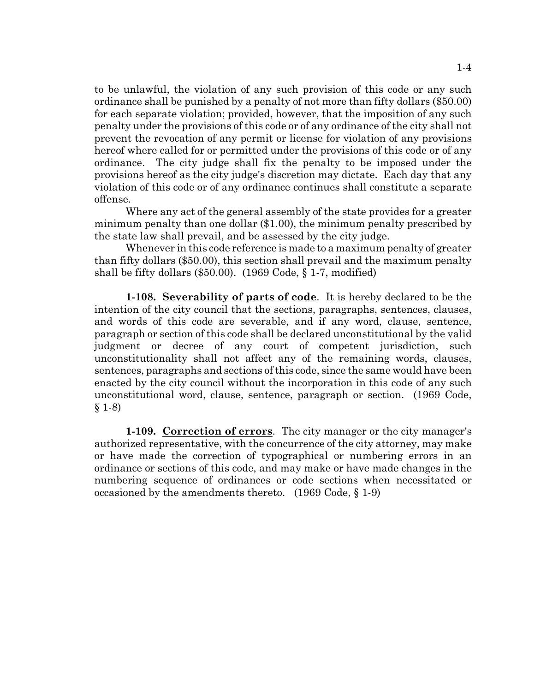to be unlawful, the violation of any such provision of this code or any such ordinance shall be punished by a penalty of not more than fifty dollars (\$50.00) for each separate violation; provided, however, that the imposition of any such penalty under the provisions of this code or of any ordinance of the city shall not prevent the revocation of any permit or license for violation of any provisions hereof where called for or permitted under the provisions of this code or of any ordinance. The city judge shall fix the penalty to be imposed under the provisions hereof as the city judge's discretion may dictate. Each day that any violation of this code or of any ordinance continues shall constitute a separate offense.

Where any act of the general assembly of the state provides for a greater minimum penalty than one dollar (\$1.00), the minimum penalty prescribed by the state law shall prevail, and be assessed by the city judge.

Whenever in this code reference is made to a maximum penalty of greater than fifty dollars (\$50.00), this section shall prevail and the maximum penalty shall be fifty dollars  $(\$50.00)$ .  $(1969 \text{ Code}, \S 1-7, \text{modified})$ 

**1-108. Severability of parts of code**. It is hereby declared to be the intention of the city council that the sections, paragraphs, sentences, clauses, and words of this code are severable, and if any word, clause, sentence, paragraph or section of this code shall be declared unconstitutional by the valid judgment or decree of any court of competent jurisdiction, such unconstitutionality shall not affect any of the remaining words, clauses, sentences, paragraphs and sections of this code, since the same would have been enacted by the city council without the incorporation in this code of any such unconstitutional word, clause, sentence, paragraph or section. (1969 Code,  $§ 1-8)$ 

**1-109. Correction of errors**. The city manager or the city manager's authorized representative, with the concurrence of the city attorney, may make or have made the correction of typographical or numbering errors in an ordinance or sections of this code, and may make or have made changes in the numbering sequence of ordinances or code sections when necessitated or occasioned by the amendments thereto. (1969 Code, § 1-9)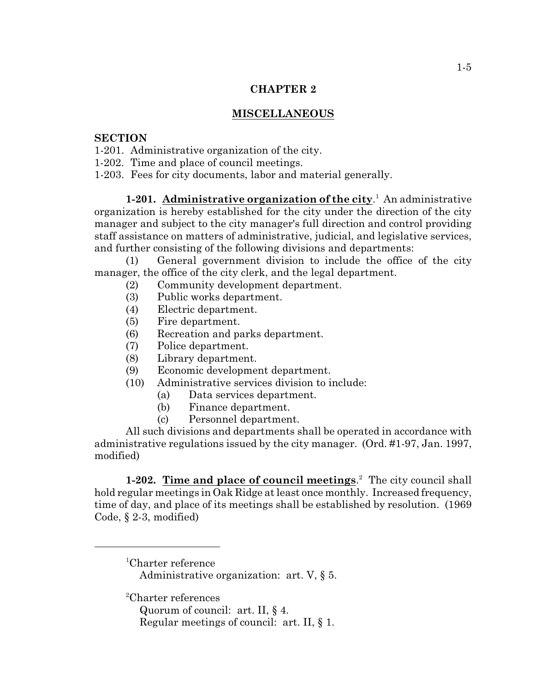## **CHAPTER 2**

# **MISCELLANEOUS**

## **SECTION**

- 1-201. Administrative organization of the city.
- 1-202. Time and place of council meetings.
- 1-203. Fees for city documents, labor and material generally.

**1-201.** Administrative organization of the city.<sup>1</sup> An administrative organization is hereby established for the city under the direction of the city manager and subject to the city manager's full direction and control providing staff assistance on matters of administrative, judicial, and legislative services, and further consisting of the following divisions and departments:

(1) General government division to include the office of the city manager, the office of the city clerk, and the legal department.

- (2) Community development department.
- (3) Public works department.
- (4) Electric department.
- (5) Fire department.
- (6) Recreation and parks department.
- (7) Police department.
- (8) Library department.
- (9) Economic development department.
- (10) Administrative services division to include:
	- (a) Data services department.
	- (b) Finance department.
	- (c) Personnel department.

All such divisions and departments shall be operated in accordance with administrative regulations issued by the city manager. (Ord. #1-97, Jan. 1997, modified)

**1-202. Time and place of council meetings.** The city council shall hold regular meetings in Oak Ridge at least once monthly. Increased frequency, time of day, and place of its meetings shall be established by resolution. (1969 Code, § 2-3, modified)

<sup>1</sup>Charter reference Administrative organization: art. V, § 5.

 ${}^{2}$ Charter references

- Quorum of council: art. II, § 4.
- Regular meetings of council: art. II, § 1.